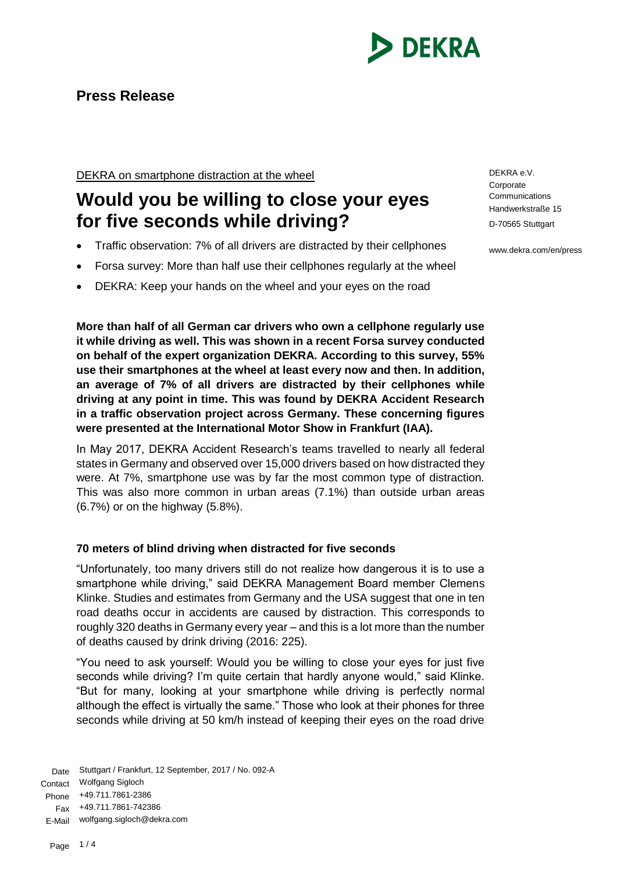

# **Press Release**

DEKRA on smartphone distraction at the wheel

# **Would you be willing to close your eyes for five seconds while driving?**

- Traffic observation: 7% of all drivers are distracted by their cellphones
- Forsa survey: More than half use their cellphones regularly at the wheel
- DEKRA: Keep your hands on the wheel and your eyes on the road

**More than half of all German car drivers who own a cellphone regularly use it while driving as well. This was shown in a recent Forsa survey conducted on behalf of the expert organization DEKRA. According to this survey, 55% use their smartphones at the wheel at least every now and then. In addition, an average of 7% of all drivers are distracted by their cellphones while driving at any point in time. This was found by DEKRA Accident Research in a traffic observation project across Germany. These concerning figures were presented at the International Motor Show in Frankfurt (IAA).**

In May 2017, DEKRA Accident Research's teams travelled to nearly all federal states in Germany and observed over 15,000 drivers based on how distracted they were. At 7%, smartphone use was by far the most common type of distraction. This was also more common in urban areas (7.1%) than outside urban areas (6.7%) or on the highway (5.8%).

# **70 meters of blind driving when distracted for five seconds**

"Unfortunately, too many drivers still do not realize how dangerous it is to use a smartphone while driving," said DEKRA Management Board member Clemens Klinke. Studies and estimates from Germany and the USA suggest that one in ten road deaths occur in accidents are caused by distraction. This corresponds to roughly 320 deaths in Germany every year – and this is a lot more than the number of deaths caused by drink driving (2016: 225).

"You need to ask yourself: Would you be willing to close your eyes for just five seconds while driving? I'm quite certain that hardly anyone would," said Klinke. "But for many, looking at your smartphone while driving is perfectly normal although the effect is virtually the same." Those who look at their phones for three seconds while driving at 50 km/h instead of keeping their eyes on the road drive

Date Stuttgart / Frankfurt, 12 September, 2017 / No. 092-A Contact Wolfgang Sigloch Phone +49.711.7861-2386 Fax +49.711.7861-742386 E-Mail wolfgang.sigloch@dekra.com

DEKRA e.V. **Corporate Communications** Handwerkstraße 15 D-70565 Stuttgart

www.dekra.com/en/press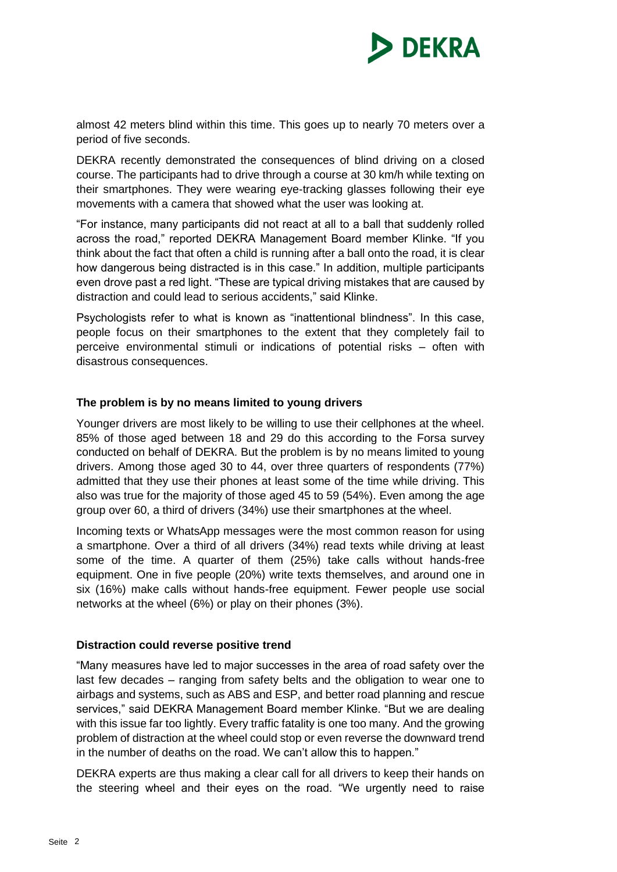

almost 42 meters blind within this time. This goes up to nearly 70 meters over a period of five seconds.

DEKRA recently demonstrated the consequences of blind driving on a closed course. The participants had to drive through a course at 30 km/h while texting on their smartphones. They were wearing eye-tracking glasses following their eye movements with a camera that showed what the user was looking at.

"For instance, many participants did not react at all to a ball that suddenly rolled across the road," reported DEKRA Management Board member Klinke. "If you think about the fact that often a child is running after a ball onto the road, it is clear how dangerous being distracted is in this case." In addition, multiple participants even drove past a red light. "These are typical driving mistakes that are caused by distraction and could lead to serious accidents," said Klinke.

Psychologists refer to what is known as "inattentional blindness". In this case, people focus on their smartphones to the extent that they completely fail to perceive environmental stimuli or indications of potential risks – often with disastrous consequences.

#### **The problem is by no means limited to young drivers**

Younger drivers are most likely to be willing to use their cellphones at the wheel. 85% of those aged between 18 and 29 do this according to the Forsa survey conducted on behalf of DEKRA. But the problem is by no means limited to young drivers. Among those aged 30 to 44, over three quarters of respondents (77%) admitted that they use their phones at least some of the time while driving. This also was true for the majority of those aged 45 to 59 (54%). Even among the age group over 60, a third of drivers (34%) use their smartphones at the wheel.

Incoming texts or WhatsApp messages were the most common reason for using a smartphone. Over a third of all drivers (34%) read texts while driving at least some of the time. A quarter of them (25%) take calls without hands-free equipment. One in five people (20%) write texts themselves, and around one in six (16%) make calls without hands-free equipment. Fewer people use social networks at the wheel (6%) or play on their phones (3%).

#### **Distraction could reverse positive trend**

"Many measures have led to major successes in the area of road safety over the last few decades – ranging from safety belts and the obligation to wear one to airbags and systems, such as ABS and ESP, and better road planning and rescue services," said DEKRA Management Board member Klinke. "But we are dealing with this issue far too lightly. Every traffic fatality is one too many. And the growing problem of distraction at the wheel could stop or even reverse the downward trend in the number of deaths on the road. We can't allow this to happen."

DEKRA experts are thus making a clear call for all drivers to keep their hands on the steering wheel and their eyes on the road. "We urgently need to raise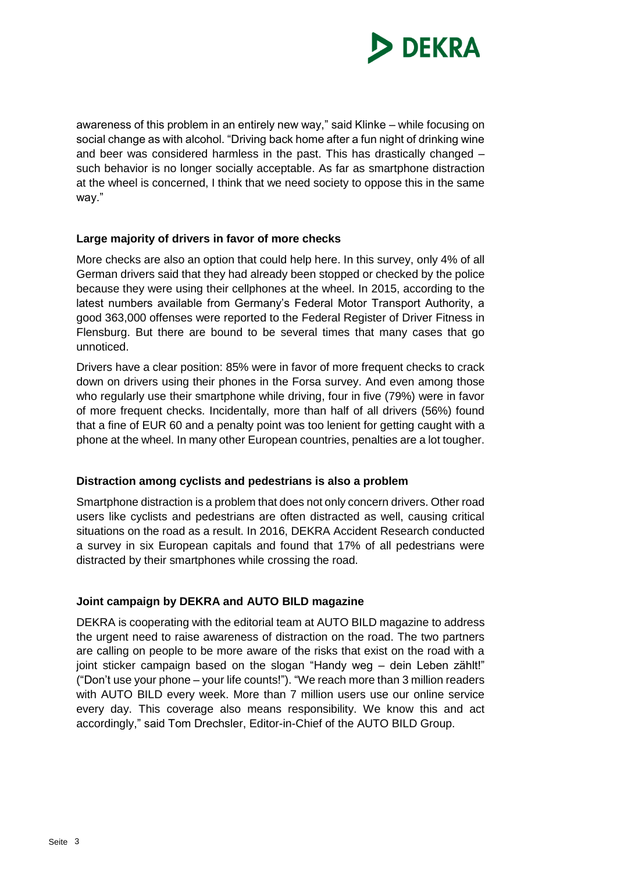

awareness of this problem in an entirely new way," said Klinke – while focusing on social change as with alcohol. "Driving back home after a fun night of drinking wine and beer was considered harmless in the past. This has drastically changed – such behavior is no longer socially acceptable. As far as smartphone distraction at the wheel is concerned, I think that we need society to oppose this in the same way."

# **Large majority of drivers in favor of more checks**

More checks are also an option that could help here. In this survey, only 4% of all German drivers said that they had already been stopped or checked by the police because they were using their cellphones at the wheel. In 2015, according to the latest numbers available from Germany's Federal Motor Transport Authority, a good 363,000 offenses were reported to the Federal Register of Driver Fitness in Flensburg. But there are bound to be several times that many cases that go unnoticed.

Drivers have a clear position: 85% were in favor of more frequent checks to crack down on drivers using their phones in the Forsa survey. And even among those who regularly use their smartphone while driving, four in five (79%) were in favor of more frequent checks. Incidentally, more than half of all drivers (56%) found that a fine of EUR 60 and a penalty point was too lenient for getting caught with a phone at the wheel. In many other European countries, penalties are a lot tougher.

#### **Distraction among cyclists and pedestrians is also a problem**

Smartphone distraction is a problem that does not only concern drivers. Other road users like cyclists and pedestrians are often distracted as well, causing critical situations on the road as a result. In 2016, DEKRA Accident Research conducted a survey in six European capitals and found that 17% of all pedestrians were distracted by their smartphones while crossing the road.

# **Joint campaign by DEKRA and AUTO BILD magazine**

DEKRA is cooperating with the editorial team at AUTO BILD magazine to address the urgent need to raise awareness of distraction on the road. The two partners are calling on people to be more aware of the risks that exist on the road with a joint sticker campaign based on the slogan "Handy weg – dein Leben zählt!" ("Don't use your phone – your life counts!"). "We reach more than 3 million readers with AUTO BILD every week. More than 7 million users use our online service every day. This coverage also means responsibility. We know this and act accordingly," said Tom Drechsler, Editor-in-Chief of the AUTO BILD Group.